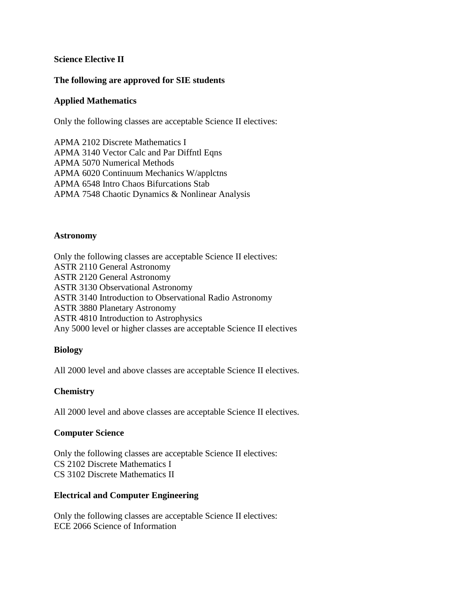## **Science Elective II**

## **The following are approved for SIE students**

### **Applied Mathematics**

Only the following classes are acceptable Science II electives:

APMA 2102 Discrete Mathematics I APMA 3140 Vector Calc and Par Diffntl Eqns APMA 5070 Numerical Methods APMA 6020 Continuum Mechanics W/applctns APMA 6548 Intro Chaos Bifurcations Stab APMA 7548 Chaotic Dynamics & Nonlinear Analysis

#### **Astronomy**

Only the following classes are acceptable Science II electives: ASTR 2110 General Astronomy ASTR 2120 General Astronomy ASTR 3130 Observational Astronomy ASTR 3140 Introduction to Observational Radio Astronomy ASTR 3880 Planetary Astronomy ASTR 4810 Introduction to Astrophysics Any 5000 level or higher classes are acceptable Science II electives

### **Biology**

All 2000 level and above classes are acceptable Science II electives.

# **Chemistry**

All 2000 level and above classes are acceptable Science II electives.

### **Computer Science**

Only the following classes are acceptable Science II electives: CS 2102 Discrete Mathematics I CS 3102 Discrete Mathematics II

### **Electrical and Computer Engineering**

Only the following classes are acceptable Science II electives: ECE 2066 Science of Information